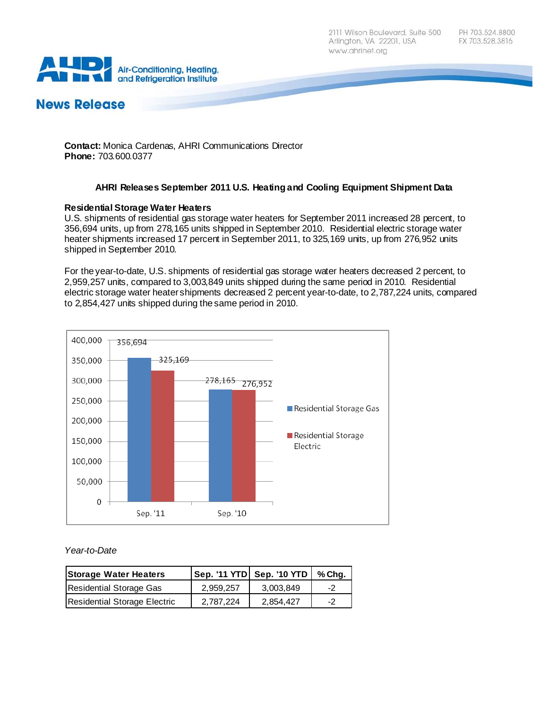2111 Wilson Boulevard, Suite 500 Arlington, VA 22201, USA www.ahrinet.org



# **News Release**

**Contact:** Monica Cardenas, AHRI Communications Director **Phone:** 703.600.0377

# **AHRI Releases September 2011 U.S. Heating and Cooling Equipment Shipment Data**

## **Residential Storage Water Heaters**

U.S. shipments of residential gas storage water heaters for September 2011 increased 28 percent, to 356,694 units, up from 278,165 units shipped in September 2010. Residential electric storage water heater shipments increased 17 percent in September 2011, to 325,169 units, up from 276,952 units shipped in September 2010.

For the year-to-date, U.S. shipments of residential gas storage water heaters decreased 2 percent, to 2,959,257 units, compared to 3,003,849 units shipped during the same period in 2010. Residential electric storage water heater shipments decreased 2 percent year-to-date, to 2,787,224 units, compared to 2,854,427 units shipped during the same period in 2010.



#### *Year-to-Date*

| <b>Storage Water Heaters</b> |           | $ $ Sep. '11 YTD $ $ Sep. '10 YTD $ $ % Chg. |              |
|------------------------------|-----------|----------------------------------------------|--------------|
| Residential Storage Gas      | 2.959.257 | 3.003.849                                    | $-2^{\circ}$ |
| Residential Storage Electric | 2.787.224 | 2.854.427                                    | -2           |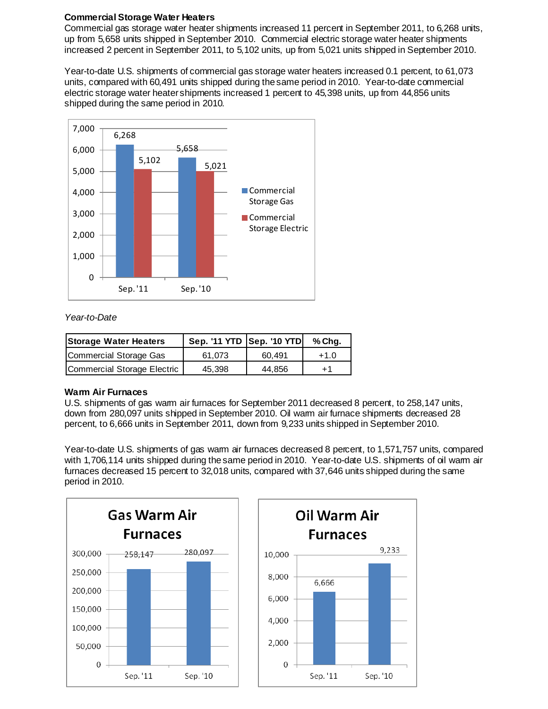## **Commercial Storage Water Heaters**

Commercial gas storage water heater shipments increased 11 percent in September 2011, to 6,268 units, up from 5,658 units shipped in September 2010. Commercial electric storage water heater shipments increased 2 percent in September 2011, to 5,102 units, up from 5,021 units shipped in September 2010.

Year-to-date U.S. shipments of commercial gas storage water heaters increased 0.1 percent, to 61,073 units, compared with 60,491 units shipped during the same period in 2010. Year-to-date commercial electric storage water heater shipments increased 1 percent to 45,398 units, up from 44,856 units shipped during the same period in 2010.



## *Year-to-Date*

| <b>Storage Water Heaters</b> | Sep. '11 YTD   Sep. '10 YTD |        | % Cha. |
|------------------------------|-----------------------------|--------|--------|
| Commercial Storage Gas       | 61.073                      | 60.491 | $+1.0$ |
| Commercial Storage Electric  | 45.398                      | 44.856 | $+1$   |

#### **Warm Air Furnaces**

U.S. shipments of gas warm air furnaces for September 2011 decreased 8 percent, to 258,147 units, down from 280,097 units shipped in September 2010. Oil warm air furnace shipments decreased 28 percent, to 6,666 units in September 2011, down from 9,233 units shipped in September 2010.

Year-to-date U.S. shipments of gas warm air furnaces decreased 8 percent, to 1,571,757 units, compared with 1,706,114 units shipped during the same period in 2010. Year-to-date U.S. shipments of oil warm air furnaces decreased 15 percent to 32,018 units, compared with 37,646 units shipped during the same period in 2010.



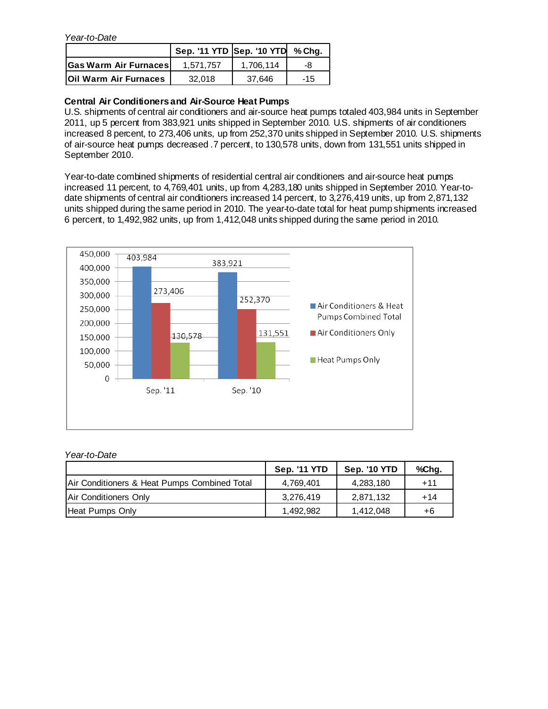*Year-to-Date*

|                              | Sep. '11 YTD Sep. '10 YTD % Chg. |           |       |
|------------------------------|----------------------------------|-----------|-------|
| <b>Gas Warm Air Furnaces</b> | 1.571.757                        | 1.706.114 | -8    |
| <b>Oil Warm Air Furnaces</b> | 32.018                           | 37.646    | $-15$ |

# **Central Air Conditioners and Air-Source Heat Pumps**

U.S. shipments of central air conditioners and air-source heat pumps totaled 403,984 units in September 2011, up 5 percent from 383,921 units shipped in September 2010. U.S. shipments of air conditioners increased 8 percent, to 273,406 units, up from 252,370 units shipped in September 2010. U.S. shipments of air-source heat pumps decreased .7 percent, to 130,578 units, down from 131,551 units shipped in September 2010.

Year-to-date combined shipments of residential central air conditioners and air-source heat pumps increased 11 percent, to 4,769,401 units, up from 4,283,180 units shipped in September 2010. Year-todate shipments of central air conditioners increased 14 percent, to 3,276,419 units, up from 2,871,132 units shipped during the same period in 2010. The year-to-date total for heat pump shipments increased 6 percent, to 1,492,982 units, up from 1,412,048 units shipped during the same period in 2010.



## *Year-to-Date*

|                                              | <b>Sep. '11 YTD</b> | <b>Sep. '10 YTD</b> | %Chg. |
|----------------------------------------------|---------------------|---------------------|-------|
| Air Conditioners & Heat Pumps Combined Total | 4,769,401           | 4,283,180           | +11   |
| Air Conditioners Only                        | 3,276,419           | 2,871,132           | $+14$ |
| Heat Pumps Only                              | 1.492.982           | 1.412.048           | +6    |